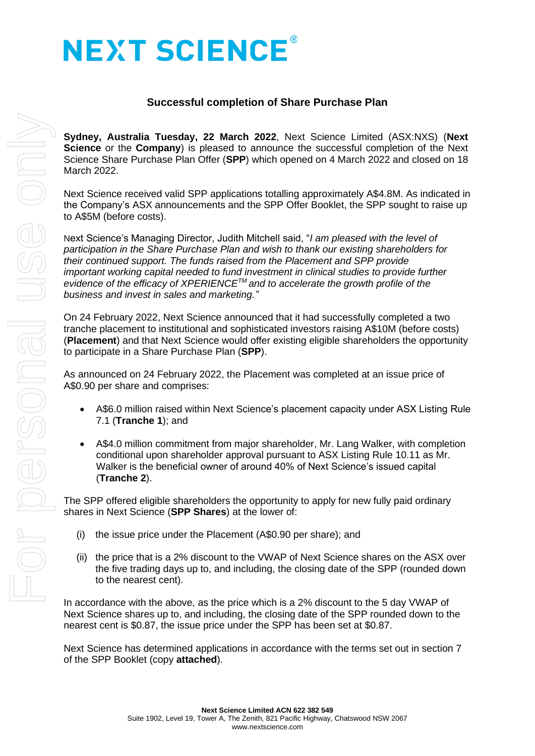# **NEXT SCIENCE®**

# **Successful completion of Share Purchase Plan**

**Sydney, Australia Tuesday, 22 March 2022**, Next Science Limited (ASX:NXS) (**Next Science** or the **Company**) is pleased to announce the successful completion of the Next Science Share Purchase Plan Offer (**SPP**) which opened on 4 March 2022 and closed on 18 March 2022.

Next Science received valid SPP applications totalling approximately A\$4.8M. As indicated in the Company's ASX announcements and the SPP Offer Booklet, the SPP sought to raise up to A\$5M (before costs).

Next Science's Managing Director, Judith Mitchell said, "*I am pleased with the level of participation in the Share Purchase Plan and wish to thank our existing shareholders for their continued support. The funds raised from the Placement and SPP provide important working capital needed to fund investment in clinical studies to provide further evidence of the efficacy of XPERIENCETM and to accelerate the growth profile of the business and invest in sales and marketing."*

On 24 February 2022, Next Science announced that it had successfully completed a two tranche placement to institutional and sophisticated investors raising A\$10M (before costs) (**Placement**) and that Next Science would offer existing eligible shareholders the opportunity to participate in a Share Purchase Plan (**SPP**).

As announced on 24 February 2022, the Placement was completed at an issue price of A\$0.90 per share and comprises:

- A\$6.0 million raised within Next Science's placement capacity under ASX Listing Rule 7.1 (**Tranche 1**); and
- A\$4.0 million commitment from major shareholder, Mr. Lang Walker, with completion conditional upon shareholder approval pursuant to ASX Listing Rule 10.11 as Mr. Walker is the beneficial owner of around 40% of Next Science's issued capital (**Tranche 2**).

The SPP offered eligible shareholders the opportunity to apply for new fully paid ordinary shares in Next Science (**SPP Shares**) at the lower of:

- (i) the issue price under the Placement (A\$0.90 per share); and
- (ii) the price that is a 2% discount to the VWAP of Next Science shares on the ASX over the five trading days up to, and including, the closing date of the SPP (rounded down to the nearest cent).

In accordance with the above, as the price which is a 2% discount to the 5 day VWAP of Next Science shares up to, and including, the closing date of the SPP rounded down to the nearest cent is \$0.87, the issue price under the SPP has been set at \$0.87.

Next Science has determined applications in accordance with the terms set out in section 7 of the SPP Booklet (copy **attached**).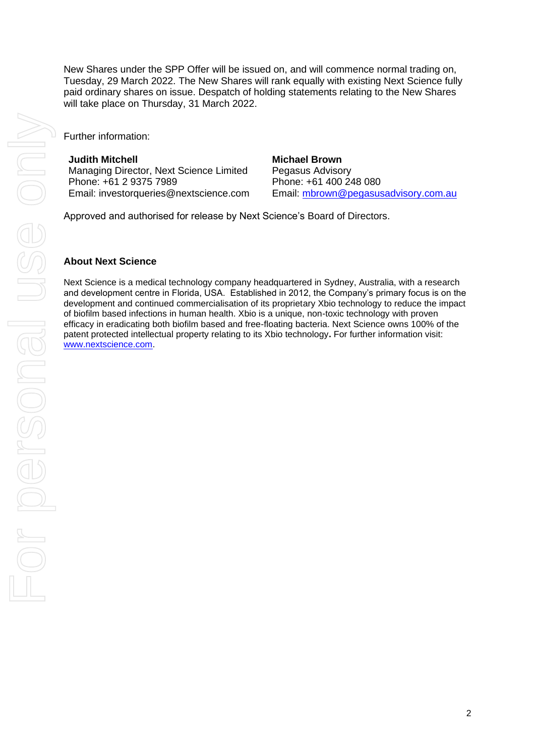New Shares under the SPP Offer will be issued on, and will commence normal trading on, Tuesday, 29 March 2022. The New Shares will rank equally with existing Next Science fully paid ordinary shares on issue. Despatch of holding statements relating to the New Shares will take place on Thursday, 31 March 2022.

Further information:

**Judith Mitchell**

Managing Director, Next Science Limited Phone: +61 2 9375 7989 Email: [investorqueries@nextscience.com](mailto:investorqueries@nextscience.com)

**Michael Brown** Pegasus Advisory Phone: +61 400 248 080 Email: [mbrown@pegasusadvisory.com.au](mailto:mbrown@pegasusadvisory.com.au)

Approved and authorised for release by Next Science's Board of Directors.

# **About Next Science**

Next Science is a medical technology company headquartered in Sydney, Australia, with a research and development centre in Florida, USA. Established in 2012, the Company's primary focus is on the development and continued commercialisation of its proprietary Xbio technology to reduce the impact of biofilm based infections in human health. Xbio is a unique, non-toxic technology with proven efficacy in eradicating both biofilm based and free-floating bacteria. Next Science owns 100% of the patent protected intellectual property relating to its Xbio technology**.** For further information visit: [www.nextscience.com.](http://www.nextscience.com/)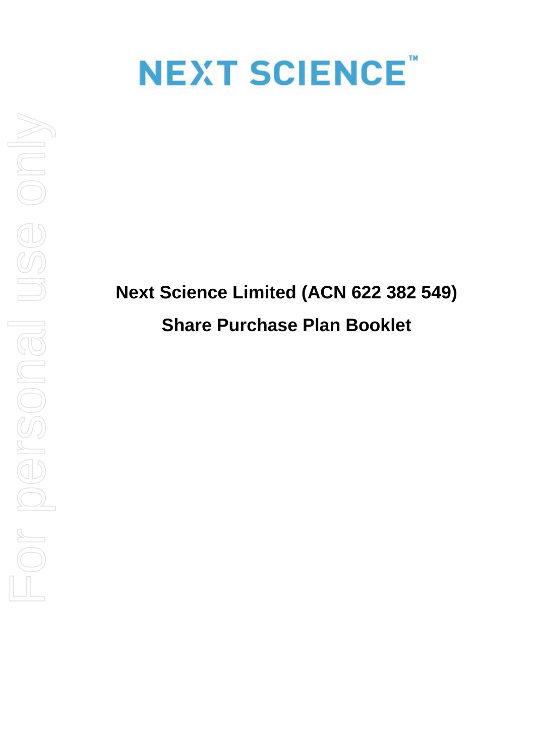

# **Next Science Limited (ACN 622 382 549) Share Purchase Plan Booklet**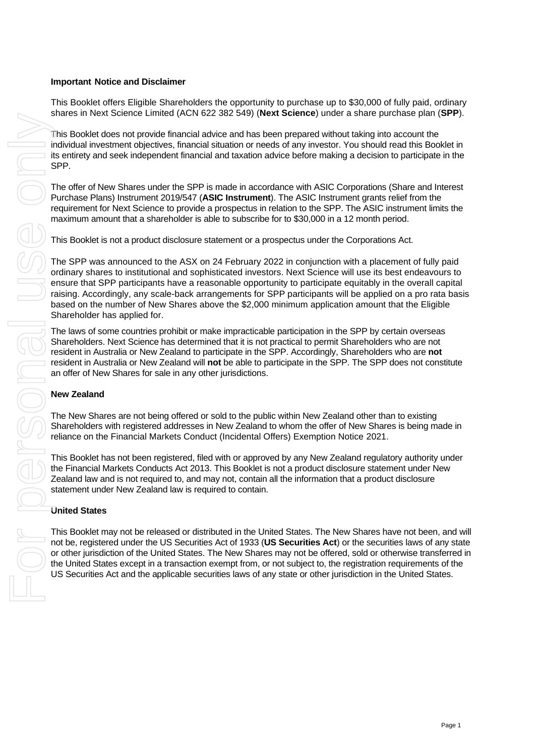## **Important Notice and Disclaimer**

This Booklet offers Eligible Shareholders the opportunity to purchase up to \$30,000 of fully paid, ordinary shares in Next Science Limited (ACN 622 382 549) (**Next Science**) under a share purchase plan (**SPP**).

This Booklet does not provide financial advice and has been prepared without taking into account the individual investment objectives, financial situation or needs of any investor. You should read this Booklet in its entirety and seek independent financial and taxation advice before making a decision to participate in the SPP.

The offer of New Shares under the SPP is made in accordance with ASIC Corporations (Share and Interest Purchase Plans) Instrument 2019/547 (**ASIC Instrument**). The ASIC Instrument grants relief from the requirement for Next Science to provide a prospectus in relation to the SPP. The ASIC instrument limits the maximum amount that a shareholder is able to subscribe for to \$30,000 in a 12 month period.

This Booklet is not a product disclosure statement or a prospectus under the Corporations Act.

The SPP was announced to the ASX on 24 February 2022 in conjunction with a placement of fully paid ordinary shares to institutional and sophisticated investors. Next Science will use its best endeavours to ensure that SPP participants have a reasonable opportunity to participate equitably in the overall capital raising. Accordingly, any scale-back arrangements for SPP participants will be applied on a pro rata basis based on the number of New Shares above the \$2,000 minimum application amount that the Eligible Shareholder has applied for. Use of the act and the applicable securities activities and the applicable securities laws of any investigate or the applicable in the applicable securities lays of any state or other and the applicable securities and the

The laws of some countries prohibit or make impracticable participation in the SPP by certain overseas Shareholders. Next Science has determined that it is not practical to permit Shareholders who are not resident in Australia or New Zealand to participate in the SPP. Accordingly, Shareholders who are **not** resident in Australia or New Zealand will **not** be able to participate in the SPP. The SPP does not constitute an offer of New Shares for sale in any other jurisdictions.

#### **New Zealand**

The New Shares are not being offered or sold to the public within New Zealand other than to existing Shareholders with registered addresses in New Zealand to whom the offer of New Shares is being made in reliance on the Financial Markets Conduct (Incidental Offers) Exemption Notice 2021.

This Booklet has not been registered, filed with or approved by any New Zealand regulatory authority under the Financial Markets Conducts Act 2013. This Booklet is not a product disclosure statement under New Zealand law and is not required to, and may not, contain all the information that a product disclosure statement under New Zealand law is required to contain.

#### **United States**

This Booklet may not be released or distributed in the United States. The New Shares have not been, and will not be, registered under the US Securities Act of 1933 (**US Securities Act**) or the securities laws of any state or other jurisdiction of the United States. The New Shares may not be offered, sold or otherwise transferred in the United States except in a transaction exempt from, or not subject to, the registration requirements of the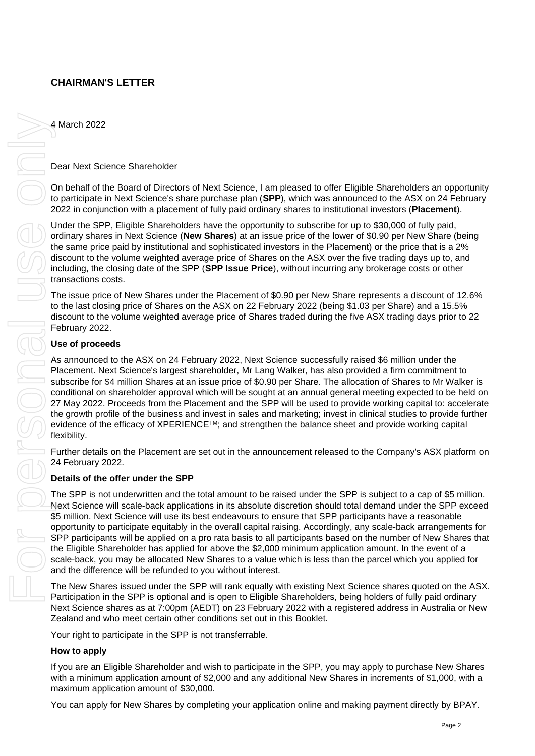# **CHAIRMAN'S LETTER**

4 March 2022

## Dear Next Science Shareholder

On behalf of the Board of Directors of Next Science, I am pleased to offer Eligible Shareholders an opportunity to participate in Next Science's share purchase plan (**SPP**), which was announced to the ASX on 24 February 2022 in conjunction with a placement of fully paid ordinary shares to institutional investors (**Placement**).

Under the SPP, Eligible Shareholders have the opportunity to subscribe for up to \$30,000 of fully paid, ordinary shares in Next Science (**New Shares**) at an issue price of the lower of \$0.90 per New Share (being the same price paid by institutional and sophisticated investors in the Placement) or the price that is a 2% discount to the volume weighted average price of Shares on the ASX over the five trading days up to, and including, the closing date of the SPP (**SPP Issue Price**), without incurring any brokerage costs or other transactions costs.

The issue price of New Shares under the Placement of \$0.90 per New Share represents a discount of 12.6% to the last closing price of Shares on the ASX on 22 February 2022 (being \$1.03 per Share) and a 15.5% discount to the volume weighted average price of Shares traded during the five ASX trading days prior to 22 February 2022.

#### **Use of proceeds**

As announced to the ASX on 24 February 2022, Next Science successfully raised \$6 million under the Placement. Next Science's largest shareholder, Mr Lang Walker, has also provided a firm commitment to subscribe for \$4 million Shares at an issue price of \$0.90 per Share. The allocation of Shares to Mr Walker is conditional on shareholder approval which will be sought at an annual general meeting expected to be held on 27 May 2022. Proceeds from the Placement and the SPP will be used to provide working capital to: accelerate the growth profile of the business and invest in sales and marketing; invest in clinical studies to provide further evidence of the efficacy of XPERIENCETM; and strengthen the balance sheet and provide working capital flexibility. A Match 2022<br>
Distributed Sciences Buretoidus<br>
On testing of the Sciences of Mexi Sciences. Lamplessed to chin Eliptics Buretoidus and optional<br>
Match application on a plassified of the Space of the Space of the Sciences b

Further details on the Placement are set out in the announcement released to the Company's ASX platform on 24 February 2022.

#### **Details of the offer under the SPP**

The SPP is not underwritten and the total amount to be raised under the SPP is subject to a cap of \$5 million. Next Science will scale-back applications in its absolute discretion should total demand under the SPP exceed \$5 million. Next Science will use its best endeavours to ensure that SPP participants have a reasonable opportunity to participate equitably in the overall capital raising. Accordingly, any scale-back arrangements for SPP participants will be applied on a pro rata basis to all participants based on the number of New Shares that the Eligible Shareholder has applied for above the \$2,000 minimum application amount. In the event of a scale-back, you may be allocated New Shares to a value which is less than the parcel which you applied for and the difference will be refunded to you without interest.

The New Shares issued under the SPP will rank equally with existing Next Science shares quoted on the ASX. Participation in the SPP is optional and is open to Eligible Shareholders, being holders of fully paid ordinary Next Science shares as at 7:00pm (AEDT) on 23 February 2022 with a registered address in Australia or New Zealand and who meet certain other conditions set out in this Booklet.

Your right to participate in the SPP is not transferrable.

#### **How to apply**

If you are an Eligible Shareholder and wish to participate in the SPP, you may apply to purchase New Shares with a minimum application amount of \$2,000 and any additional New Shares in increments of \$1,000, with a maximum application amount of \$30,000.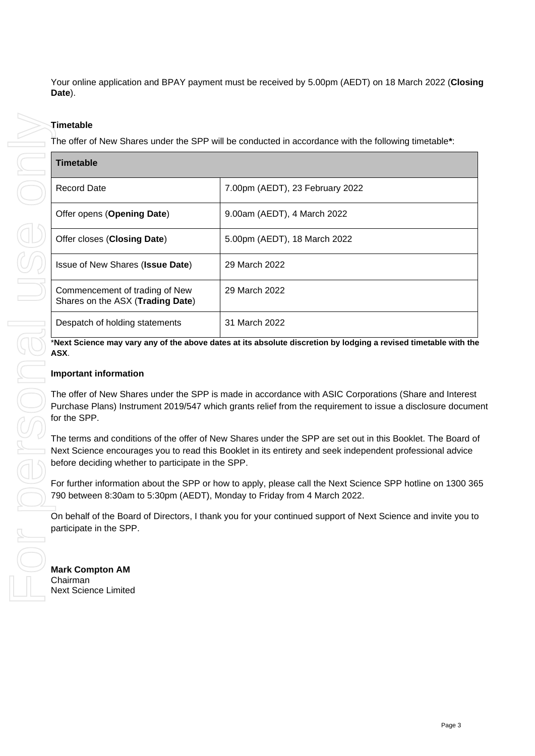Your online application and BPAY payment must be received by 5.00pm (AEDT) on 18 March 2022 (**Closing Date**).

#### **Timetable**

The offer of New Shares under the SPP will be conducted in accordance with the following timetable**\***:

| Timetable                                                          |                                 |
|--------------------------------------------------------------------|---------------------------------|
| <b>Record Date</b>                                                 | 7.00pm (AEDT), 23 February 2022 |
| Offer opens (Opening Date)                                         | 9.00am (AEDT), 4 March 2022     |
| Offer closes (Closing Date)                                        | 5.00pm (AEDT), 18 March 2022    |
| Issue of New Shares (Issue Date)                                   | 29 March 2022                   |
| Commencement of trading of New<br>Shares on the ASX (Trading Date) | 29 March 2022                   |
| Despatch of holding statements                                     | 31 March 2022                   |

\***Next Science may vary any of the above dates at its absolute discretion by lodging a revised timetable with the ASX**.

#### **Important information**

The offer of New Shares under the SPP is made in accordance with ASIC Corporations (Share and Interest Purchase Plans) Instrument 2019/547 which grants relief from the requirement to issue a disclosure document for the SPP.

The terms and conditions of the offer of New Shares under the SPP are set out in this Booklet. The Board of Next Science encourages you to read this Booklet in its entirety and seek independent professional advice before deciding whether to participate in the SPP.

For further information about the SPP or how to apply, please call the Next Science SPP hotline on 1300 365 790 between 8:30am to 5:30pm (AEDT), Monday to Friday from 4 March 2022.

On behalf of the Board of Directors, I thank you for your continued support of Next Science and invite you to participate in the SPP.

**Mark Compton AM**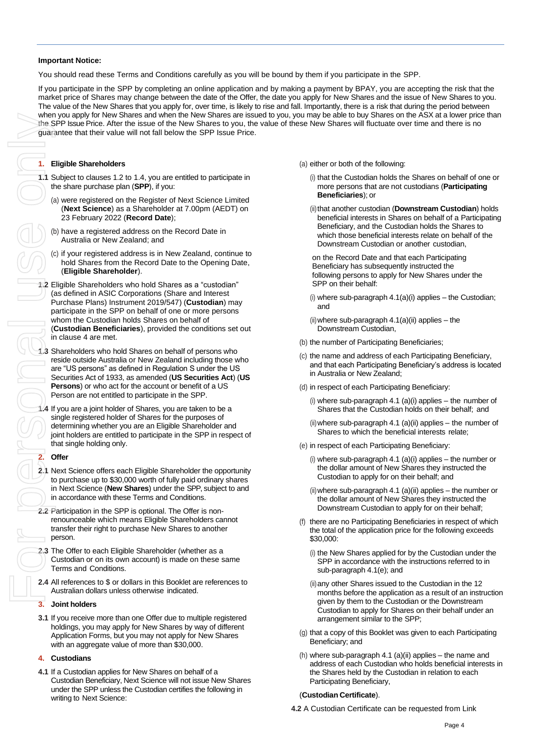#### **Important Notice:**

You should read these Terms and Conditions carefully as you will be bound by them if you participate in the SPP.

If you participate in the SPP by completing an online application and by making a payment by BPAY, you are accepting the risk that the market price of Shares may change between the date of the Offer, the date you apply for New Shares and the issue of New Shares to you. The value of the New Shares that you apply for, over time, is likely to rise and fall. Importantly, there is a risk that during the period between when you apply for New Shares and when the New Shares are issued to you, you may be able to buy Shares on the ASX at a lower price than the SPP Issue Price. After the issue of the New Shares to you, the value of these New Shares will fluctuate over time and there is no guarantee that their value will not fall below the SPP Issue Price.

#### **1. Eligible Shareholders**

- <span id="page-6-5"></span>**1.1** Subject to clause[s 1.2](#page-6-0) to [1.4,](#page-6-1) you are entitled to participate in the share purchase plan (**SPP**), if you:
	- (a) were registered on the Register of Next Science Limited (**Next Science**) as a Shareholder at 7.00pm (AEDT) on 23 February 2022 (**Record Date**);
	- (b) have a registered address on the Record Date in Australia or New Zealand; and
	- (c) if your registered address is in New Zealand, continue to hold Shares from the Record Date to the Opening Date, (**Eligible Shareholder**).
- <span id="page-6-0"></span>**1.2** Eligible Shareholders who hold Shares as a "custodian" (as defined in ASIC Corporations (Share and Interest Purchase Plans) Instrument 2019/547) (**Custodian**) may participate in the SPP on behalf of one or more persons whom the Custodian holds Shares on behalf of (**Custodian Beneficiaries**), provided the conditions set out in claus[e 4](#page-6-2) are met.
- <span id="page-6-7"></span>**1.3** Shareholders who hold Shares on behalf of persons who reside outside Australia or New Zealand including those who are "US persons" as defined in Regulation S under the US Securities Act of 1933, as amended (**US Securities Act**) (**US Persons**) or who act for the account or benefit of a US Person are not entitled to participate in the SPP.
- <span id="page-6-1"></span>**1.4** If you are a joint holder of Shares, you are taken to be a single registered holder of Shares for the purposes of determining whether you are an Eligible Shareholder and joint holders are entitled to participate in the SPP in respect of that single holding only.

#### **2. Offer**

- <span id="page-6-6"></span>**2.1** Next Science offers each Eligible Shareholder the opportunity to purchase up to \$30,000 worth of fully paid ordinary shares in Next Science (**New Shares**) under the SPP, subject to and in accordance with these Terms and Conditions.
- **2.2** Participation in the SPP is optional. The Offer is nonrenounceable which means Eligible Shareholders cannot transfer their right to purchase New Shares to another person.
- **2.3** The Offer to each Eligible Shareholder (whether as a Custodian or on its own account) is made on these same Terms and Conditions.
- **2.4** All references to \$ or dollars in this Booklet are references to Australian dollars unless otherwise indicated.

#### <span id="page-6-4"></span>**3. Joint holders**

**3.1** If you receive more than one Offer due to multiple registered holdings, you may apply for New Shares by way of different Application Forms, but you may not apply for New Shares with an aggregate value of more than \$30,000.

#### <span id="page-6-2"></span>**4. Custodians**

<span id="page-6-3"></span>**4.1** If a Custodian applies for New Shares on behalf of a Custodian Beneficiary, Next Science will not issue New Shares under the SPP unless the Custodian certifies the following in writing to Next Science:

(a) either or both of the following:

- (i) that the Custodian holds the Shares on behalf of one or more persons that are not custodians (**Participating Beneficiaries**); or
- (ii) that another custodian (Downstream Custodian) holds beneficial interests in Shares on behalf of a Participating Beneficiary, and the Custodian holds the Shares to which those beneficial interests relate on behalf of the Downstream Custodian or another custodian,

on the Record Date and that each Participating Beneficiary has subsequently instructed the following persons to apply for New Shares under the SPP on their behalf:

 $(i)$  where sub-paragraph  $4.1(a)(i)$  applies  $-$  the Custodian; and

 $(ii)$  where sub-paragraph  $4.1(a)(ii)$  applies  $-$  the Downstream Custodian,

- (b) the number of Participating Beneficiaries;
- (c) the name and address of each Participating Beneficiary, and that each Participating Beneficiary's address is located in Australia or New Zealand;
- (d) in respect of each Participating Beneficiary:
	- (i) where sub-paragraph  $4.1$  (a)(i) applies the number of Shares that the Custodian holds on their behalf; and
	- $(ii)$  where sub-paragrap[h 4.1](#page-6-3) (a) $(ii)$  applies the number of Shares to which the beneficial interests relate;
- (e) in respect of each Participating Beneficiary:
	- (i) where sub-paragrap[h 4.1](#page-6-3) (a)(i) applies the number or the dollar amount of New Shares they instructed the Custodian to apply for on their behalf; and
	- $(i)$  where sub-paragraph [4.1](#page-6-3) (a) $(ii)$  applies the number or the dollar amount of New Shares they instructed the Downstream Custodian to apply for on their behalf;
- (f) there are no Participating Beneficiaries in respect of which the total of the application price for the following exceeds \$30,000:
	- (i) the New Shares applied for by the Custodian under the SPP in accordance with the instructions referred to in sub-paragraph [4.1\(](#page-6-3)e); and
	- (ii)any other Shares issued to the Custodian in the 12 months before the application as a result of an instruction given by them to the Custodian or the Downstream Custodian to apply for Shares on their behalf under an arrangement similar to the SPP;
- (g) that a copy of this Booklet was given to each Participating Beneficiary; and
- (h) where sub-paragraph [4.1](#page-6-3) (a)(ii) applies  $-$  the name and address of each Custodian who holds beneficial interests in the Shares held by the Custodian in relation to each Participating Beneficiary,

#### (**Custodian Certificate**).

**4.2** A Custodian Certificate can be requested from Link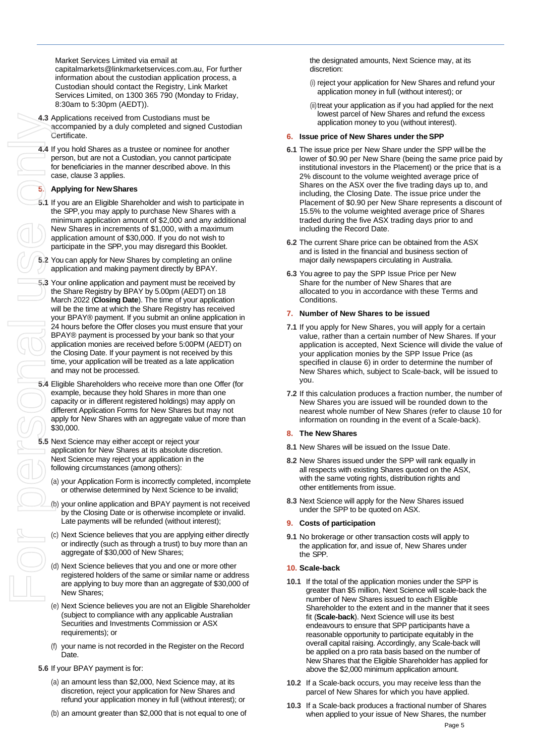Market Services Limited via email at capitalmarkets@linkmarketservices.com.au, For further information about the custodian application process, a Custodian should contact the Registry, Link Market Services Limited, on 1300 365 790 (Monday to Friday, 8:30am to 5:30pm (AEDT)).

- **4.3** Applications received from Custodians must be accompanied by a duly completed and signed Custodian Certificate.
- **4.4** If you hold Shares as a trustee or nominee for another person, but are not a Custodian, you cannot participate for beneficiaries in the manner described above. In this case, claus[e 3](#page-6-4) applies.

#### **5. Applying for NewShares**

- **5.1** If you are an Eligible Shareholder and wish to participate in the SPP, you may apply to purchase New Shares with a minimum application amount of \$2,000 and any additional New Shares in increments of \$1,000, with a maximum application amount of \$30,000. If you do not wish to participate in the SPP, you may disregard this Booklet.
- **5.2** You can apply for New Shares by completing an online application and making payment directly by BPAY.
- **5.3** Your online application and payment must be received by the Share Registry by BPAY by 5.00pm (AEDT) on 18 March 2022 (**Closing Date**). The time of your application will be the time at which the Share Registry has received your BPAY® payment. If you submit an online application in 24 hours before the Offer closes you must ensure that your BPAY® payment is processed by your bank so that your application monies are received before 5:00PM (AEDT) on the Closing Date. If your payment is not received by this time, your application will be treated as a late application and may not be processed.
- **5.4** Eligible Shareholders who receive more than one Offer (for example, because they hold Shares in more than one capacity or in different registered holdings) may apply on different Application Forms for New Shares but may not apply for New Shares with an aggregate value of more than \$30,000.
- **5.5** Next Science may either accept or reject your application for New Shares at its absolute discretion. Next Science may reject your application in the following circumstances (among others):
	- (a) your Application Form is incorrectly completed, incomplete or otherwise determined by Next Science to be invalid;
	- (b) your online application and BPAY payment is not received by the Closing Date or is otherwise incomplete or invalid. Late payments will be refunded (without interest);
	- (c) Next Science believes that you are applying either directly or indirectly (such as through a trust) to buy more than an aggregate of \$30,000 of New Shares;
	- (d) Next Science believes that you and one or more other registered holders of the same or similar name or address are applying to buy more than an aggregate of \$30,000 of New Shares;
	- (e) Next Science believes you are not an Eligible Shareholder (subject to compliance with any applicable Australian Securities and Investments Commission or ASX requirements); or
	- (f) your name is not recorded in the Register on the Record Date.
- **5.6** If your BPAY payment is for:
	- (a) an amount less than \$2,000, Next Science may, at its discretion, reject your application for New Shares and refund your application money in full (without interest); or
	- (b) an amount greater than \$2,000 that is not equal to one of

the designated amounts, Next Science may, at its discretion:

- (i) reject your application for New Shares and refund your application money in full (without interest); or
- (ii) treat your application as if you had applied for the next lowest parcel of New Shares and refund the excess application money to you (without interest).

#### **6. Issue price of New Shares under the SPP**

- **6.1** The issue price per New Share under the SPP willbe the lower of \$0.90 per New Share (being the same price paid by institutional investors in the Placement) or the price that is a 2% discount to the volume weighted average price of Shares on the ASX over the five trading days up to, and including, the Closing Date. The issue price under the Placement of \$0.90 per New Share represents a discount of 15.5% to the volume weighted average price of Shares traded during the five ASX trading days prior to and including the Record Date.
- **6.2** The current Share price can be obtained from the ASX and is listed in the financial and business section of major daily newspapers circulating in Australia.
- **6.3** You agree to pay the SPP Issue Price per New Share for the number of New Shares that are allocated to you in accordance with these Terms and Conditions.

#### **7. Number of New Shares to be issued**

- **7.1** If you apply for New Shares, you will apply for a certain value, rather than a certain number of New Shares. If your application is accepted, Next Science will divide the value of your application monies by the SPP Issue Price (as specified in clause 6) in order to determine the number of New Shares which, subject to Scale-back, will be issued to you.
- **7.2** If this calculation produces a fraction number, the number of New Shares you are issued will be rounded down to the nearest whole number of New Shares (refer to clause [10](#page-7-0) for information on rounding in the event of a Scale-back).
- **8. The New Shares**
- **8.1** New Shares will be issued on the Issue Date.
- **8.2** New Shares issued under the SPP will rank equally in all respects with existing Shares quoted on the ASX, with the same voting rights, distribution rights and other entitlements from issue.
- **8.3** Next Science will apply for the New Shares issued under the SPP to be quoted on ASX.

#### **9. Costs of participation**

**9.1** No brokerage or other transaction costs will apply to the application for, and issue of, New Shares under the SPP.

#### <span id="page-7-0"></span>**10. Scale-back**

- <span id="page-7-1"></span>**10.1** If the total of the application monies under the SPP is greater than \$5 million, Next Science will scale-back the number of New Shares issued to each Eligible Shareholder to the extent and in the manner that it sees fit (**Scale-back**). Next Science will use its best endeavours to ensure that SPP participants have a reasonable opportunity to participate equitably in the overall capital raising. Accordingly, any Scale-back will be applied on a pro rata basis based on the number of New Shares that the Eligible Shareholder has applied for above the \$2,000 minimum application amount.
- **10.2** If a Scale-back occurs, you may receive less than the parcel of New Shares for which you have applied.
- **10.3** If a Scale-back produces a fractional number of Shares when applied to your issue of New Shares, the number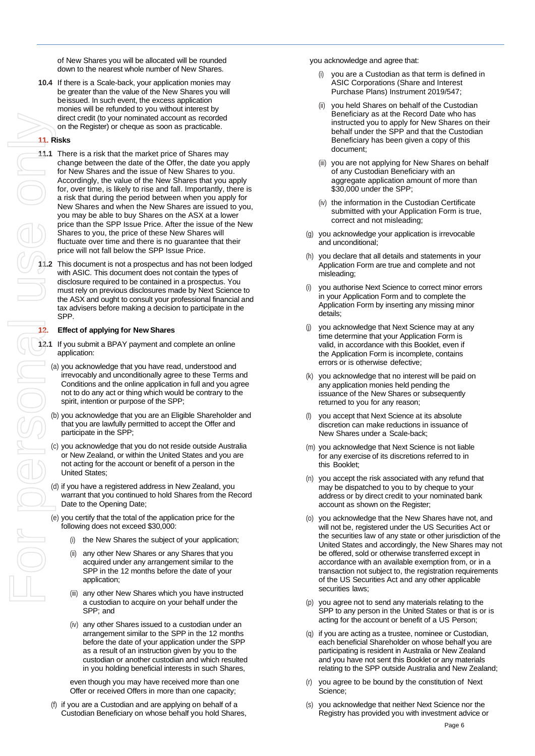of New Shares you will be allocated will be rounded down to the nearest whole number of New Shares.

**10.4** If there is a Scale-back, your application monies may be greater than the value of the New Shares you will beissued. In such event, the excess application monies will be refunded to you without interest by direct credit (to your nominated account as recorded on the Register) or cheque as soon as practicable.

#### **11. Risks**

- **11.1** There is a risk that the market price of Shares may change between the date of the Offer, the date you apply for New Shares and the issue of New Shares to you. Accordingly, the value of the New Shares that you apply for, over time, is likely to rise and fall. Importantly, there is a risk that during the period between when you apply for New Shares and when the New Shares are issued to you, you may be able to buy Shares on the ASX at a lower price than the SPP Issue Price. After the issue of the New Shares to you, the price of these New Shares will fluctuate over time and there is no guarantee that their price will not fall below the SPP Issue Price.
- **11.2** This document is not a prospectus and has not been lodged with ASIC. This document does not contain the types of disclosure required to be contained in a prospectus. You must rely on previous disclosures made by Next Science to the ASX and ought to consult your professional financial and tax advisers before making a decision to participate in the SPP.

#### **12. Effect of applying for New Shares**

- **12.1** If you submit a BPAY payment and complete an online application:
	- (a) you acknowledge that you have read, understood and irrevocably and unconditionally agree to these Terms and Conditions and the online application in full and you agree not to do any act or thing which would be contrary to the spirit, intention or purpose of the SPP;
	- (b) you acknowledge that you are an Eligible Shareholder and that you are lawfully permitted to accept the Offer and participate in the SPP;
	- (c) you acknowledge that you do not reside outside Australia or New Zealand, or within the United States and you are not acting for the account or benefit of a person in the United States;
	- (d) if you have a registered address in New Zealand, you warrant that you continued to hold Shares from the Record Date to the Opening Date;
	- (e) you certify that the total of the application price for the following does not exceed \$30,000:
		- (i) the New Shares the subject of your application;
		- (ii) any other New Shares or any Shares that you acquired under any arrangement similar to the SPP in the 12 months before the date of your application;
		- (iii) any other New Shares which you have instructed a custodian to acquire on your behalf under the SPP; and
		- (iv) any other Shares issued to a custodian under an arrangement similar to the SPP in the 12 months before the date of your application under the SPP as a result of an instruction given by you to the custodian or another custodian and which resulted in you holding beneficial interests in such Shares,

even though you may have received more than one Offer or received Offers in more than one capacity;

if you are a Custodian and are applying on behalf of a Custodian Beneficiary on whose behalf you hold Shares, you acknowledge and agree that:

- you are a Custodian as that term is defined in ASIC Corporations (Share and Interest Purchase Plans) Instrument 2019/547;
- (ii) you held Shares on behalf of the Custodian Beneficiary as at the Record Date who has instructed you to apply for New Shares on their behalf under the SPP and that the Custodian Beneficiary has been given a copy of this document;
- (iii) you are not applying for New Shares on behalf of any Custodian Beneficiary with an aggregate application amount of more than \$30,000 under the SPP;
- (iv) the information in the Custodian Certificate submitted with your Application Form is true, correct and not misleading;
- (g) you acknowledge your application is irrevocable and unconditional;
- (h) you declare that all details and statements in your Application Form are true and complete and not misleading;
- (i) you authorise Next Science to correct minor errors in your Application Form and to complete the Application Form by inserting any missing minor details;
- (j) you acknowledge that Next Science may at any time determine that your Application Form is valid, in accordance with this Booklet, even if the Application Form is incomplete, contains errors or is otherwise defective;
- (k) you acknowledge that no interest will be paid on any application monies held pending the issuance of the New Shares or subsequently returned to you for any reason;
- (l) you accept that Next Science at its absolute discretion can make reductions in issuance of New Shares under a Scale-back;
- (m) you acknowledge that Next Science is not liable for any exercise of its discretions referred to in this Booklet;
- (n) you accept the risk associated with any refund that may be dispatched to you to by cheque to your address or by direct credit to your nominated bank account as shown on the Register;
- (o) you acknowledge that the New Shares have not, and will not be, registered under the US Securities Act or the securities law of any state or other jurisdiction of the United States and accordingly, the New Shares may not be offered, sold or otherwise transferred except in accordance with an available exemption from, or in a transaction not subject to, the registration requirements of the US Securities Act and any other applicable securities laws;
- (p) you agree not to send any materials relating to the SPP to any person in the United States or that is or is acting for the account or benefit of a US Person;
- (q) if you are acting as a trustee, nominee or Custodian, each beneficial Shareholder on whose behalf you are participating is resident in Australia or New Zealand and you have not sent this Booklet or any materials relating to the SPP outside Australia and New Zealand;
- (r) you agree to be bound by the constitution of Next Science;
- (s) you acknowledge that neither Next Science nor the Registry has provided you with investment advice or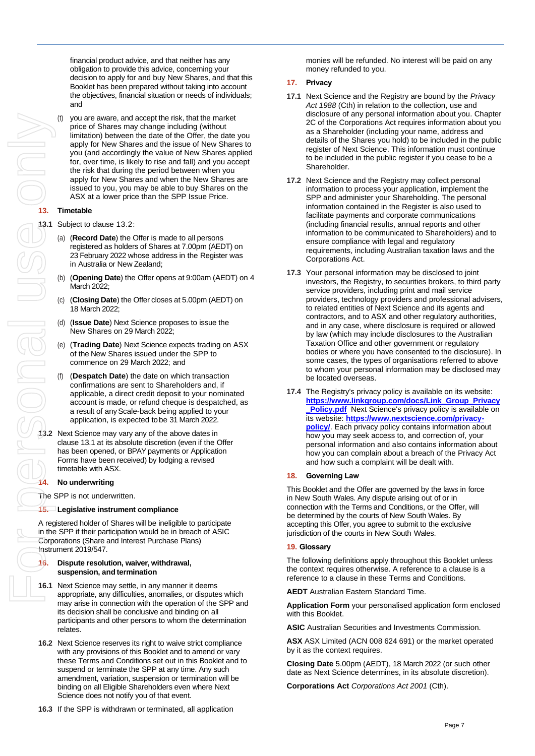financial product advice, and that neither has any obligation to provide this advice, concerning your decision to apply for and buy New Shares, and that this Booklet has been prepared without taking into account the objectives, financial situation or needs of individuals; and

you are aware, and accept the risk, that the market price of Shares may change including (without limitation) between the date of the Offer, the date you apply for New Shares and the issue of New Shares to you (and accordingly the value of New Shares applied for, over time, is likely to rise and fall) and you accept the risk that during the period between when you apply for New Shares and when the New Shares are issued to you, you may be able to buy Shares on the ASX at a lower price than the SPP Issue Price.

#### **13. Timetable**

<span id="page-9-1"></span>**13.1** Subject to clause [13.2:](#page-9-0)

- (a) (**Record Date**) the Offer is made to all persons registered as holders of Shares at 7.00pm (AEDT) on 23 February 2022 whose address in the Register was in Australia or New Zealand;
- (b) (**Opening Date**) the Offer opens at 9:00am (AEDT) on 4 March 2022;
- (c) (**Closing Date**) the Offer closes at 5.00pm (AEDT) on 18 March 2022;
- (d) (**Issue Date**) Next Science proposes to issue the New Shares on 29 March 2022;
- (e) (**Trading Date**) Next Science expects trading on ASX of the New Shares issued under the SPP to commence on 29 March 2022; and
- (f) (**Despatch Date**) the date on which transaction confirmations are sent to Shareholders and, if applicable, a direct credit deposit to your nominated account is made, or refund cheque is despatched, as a result of anyScale-back being applied to your application, is expected tobe 31 March 2022.
- <span id="page-9-0"></span>**13.2** Next Science may vary any of the above dates in claus[e 13.1](#page-9-1) at its absolute discretion (even if the Offer has been opened, or BPAY payments or Application Forms have been received) by lodging a revised timetable with ASX.

#### **14. No underwriting**

The SPP is not underwritten.

#### **15. Legislative instrument compliance**

A registered holder of Shares will be ineligible to participate in the SPP if their participation would be in breach of ASIC Corporations (Share and Interest Purchase Plans) Instrument 2019/547.

#### **16. Dispute resolution, waiver, withdrawal, suspension, and termination**

- **16.1** Next Science may settle, in any manner it deems appropriate, any difficulties, anomalies, or disputes which may arise in connection with the operation of the SPP and its decision shall be conclusive and binding on all participants and other persons to whom the determination relates.
- **16.2** Next Science reserves its right to waive strict compliance with any provisions of this Booklet and to amend or vary these Terms and Conditions set out in this Booklet and to suspend or terminate the SPP at any time. Any such amendment, variation, suspension or termination will be binding on all Eligible Shareholders even where Next Science does not notify you of that event.
- **16.3** If the SPP is withdrawn or terminated, all application

monies will be refunded. No interest will be paid on any money refunded to you.

#### **17. Privacy**

- **17.1** Next Science and the Registry are bound by the *Privacy Act 1988* (Cth) in relation to the collection, use and disclosure of any personal information about you. Chapter 2C of the Corporations Act requires information about you as a Shareholder (including your name, address and details of the Shares you hold) to be included in the public register of Next Science. This information must continue to be included in the public register if you cease to be a Shareholder.
- **17.2** Next Science and the Registry may collect personal information to process your application, implement the SPP and administer your Shareholding. The personal information contained in the Register is also used to facilitate payments and corporate communications (including financial results, annual reports and other information to be communicated to Shareholders) and to ensure compliance with legal and regulatory requirements, including Australian taxation laws and the Corporations Act.
- **17.3** Your personal information may be disclosed to joint investors, the Registry, to securities brokers, to third party service providers, including print and mail service providers, technology providers and professional advisers, to related entities of Next Science and its agents and contractors, and to ASX and other regulatory authorities, and in any case, where disclosure is required or allowed by law (which may include disclosures to the Australian Taxation Office and other government or regulatory bodies or where you have consented to the disclosure). In some cases, the types of organisations referred to above to whom your personal information may be disclosed may be located overseas.
- **17.4** The Registry's privacy policy is available on its website: **[https://www.linkgroup.com/docs/Link\\_Group\\_Privacy](https://www.linkgroup.com/docs/Link_Group_Privacy_Policy.pdf) Policy.pdf** Next Science's privacy policy is available on its website: **[https://www.nextscience.com/privacy](https://www.nextscience.com/privacy-policy/)[policy/](https://www.nextscience.com/privacy-policy/).** Each privacy policy contains information about how you may seek access to, and correction of, your personal information and also contains information about how you can complain about a breach of the Privacy Act and how such a complaint will be dealt with.

#### **18. Governing Law**

This Booklet and the Offer are governed by the laws in force in New South Wales. Any dispute arising out of or in connection with the Terms and Conditions, or the Offer, will be determined by the courts of New South Wales. By accepting this Offer, you agree to submit to the exclusive jurisdiction of the courts in New South Wales.

#### **19. Glossary**

The following definitions apply throughout this Booklet unless the context requires otherwise. A reference to a clause is a reference to a clause in these Terms and Conditions.

**AEDT** Australian Eastern Standard Time.

**Application Form** your personalised application form enclosed with this Booklet.

**ASIC** Australian Securities and Investments Commission.

**ASX** ASX Limited (ACN 008 624 691) or the market operated by it as the context requires.

**Closing Date** 5.00pm (AEDT), 18 March 2022 (or such other date as Next Science determines, in its absolute discretion).

**Corporations Act** *Corporations Act 2001* (Cth).